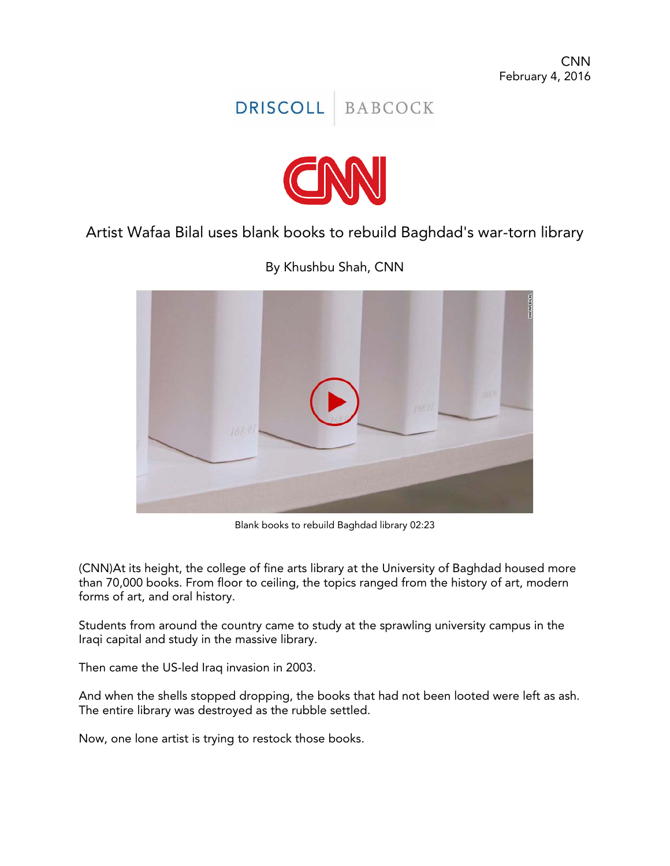



Artist Wafaa Bilal uses blank books to rebuild Baghdad's war-torn library

By Khushbu Shah, CNN



Blank books to rebuild Baghdad library 02:23

(CNN)At its height, the college of fine arts library at the University of Baghdad housed more than 70,000 books. From floor to ceiling, the topics ranged from the history of art, modern forms of art, and oral history.

Students from around the country came to study at the sprawling university campus in the Iraqi capital and study in the massive library.

Then came the US-led Iraq invasion in 2003.

And when the shells stopped dropping, the books that had not been looted were left as ash. The entire library was destroyed as the rubble settled.

Now, one lone artist is trying to restock those books.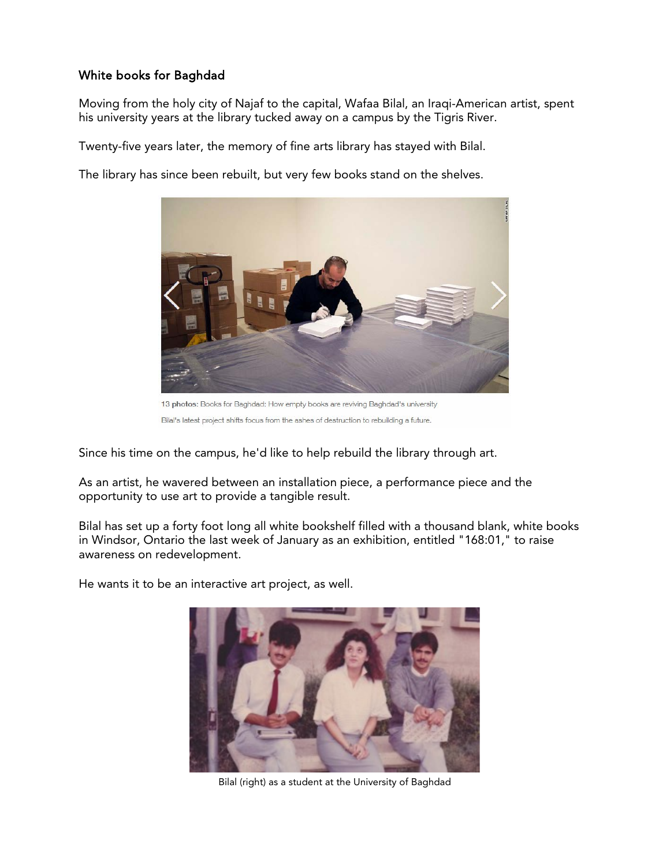## White books for Baghdad

Moving from the holy city of Najaf to the capital, Wafaa Bilal, an Iraqi-American artist, spent his university years at the library tucked away on a campus by the Tigris River.

Twenty-five years later, the memory of fine arts library has stayed with Bilal.

The library has since been rebuilt, but very few books stand on the shelves.



13 photos: Books for Baghdad: How empty books are reviving Baghdad's university Bilal's latest project shifts focus from the ashes of destruction to rebuilding a future.

Since his time on the campus, he'd like to help rebuild the library through art.

As an artist, he wavered between an installation piece, a performance piece and the opportunity to use art to provide a tangible result.

Bilal has set up a forty foot long all white bookshelf filled with a thousand blank, white books in Windsor, Ontario the last week of January as an exhibition, entitled "168:01," to raise awareness on redevelopment.

He wants it to be an interactive art project, as well.



Bilal (right) as a student at the University of Baghdad